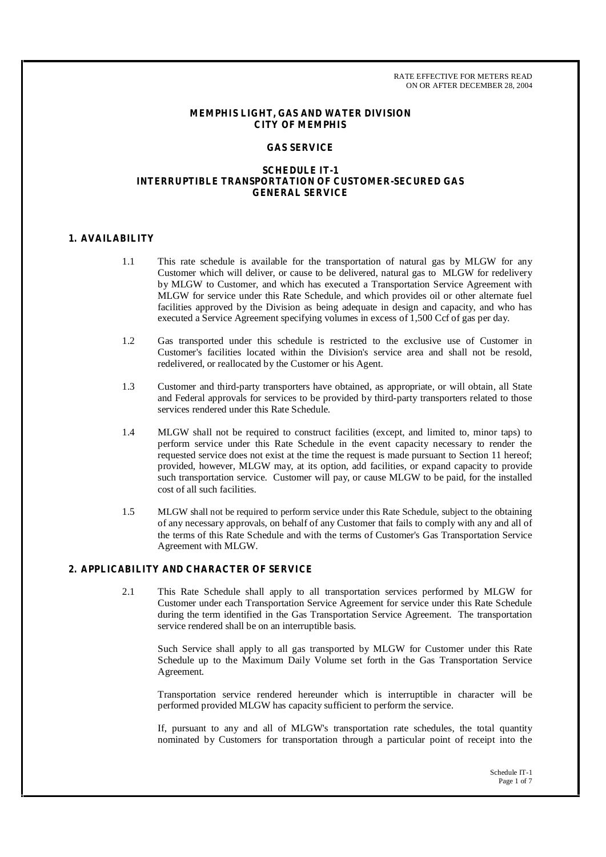## **MEMPHIS LIGHT, GAS AND WATER DIVISION CITY OF MEMPHIS**

### **GAS SERVICE**

### **SCHEDULE IT-1 INTERRUPTIBLE TRANSPORTATION OF CUSTOMER-SECURED GAS GENERAL SERVICE**

## **1. AVAILABILITY**

- 1.1 This rate schedule is available for the transportation of natural gas by MLGW for any Customer which will deliver, or cause to be delivered, natural gas to MLGW for redelivery by MLGW to Customer, and which has executed a Transportation Service Agreement with MLGW for service under this Rate Schedule, and which provides oil or other alternate fuel facilities approved by the Division as being adequate in design and capacity, and who has executed a Service Agreement specifying volumes in excess of 1,500 Ccf of gas per day.
- 1.2 Gas transported under this schedule is restricted to the exclusive use of Customer in Customer's facilities located within the Division's service area and shall not be resold, redelivered, or reallocated by the Customer or his Agent.
- 1.3 Customer and third-party transporters have obtained, as appropriate, or will obtain, all State and Federal approvals for services to be provided by third-party transporters related to those services rendered under this Rate Schedule.
- 1.4 MLGW shall not be required to construct facilities (except, and limited to, minor taps) to perform service under this Rate Schedule in the event capacity necessary to render the requested service does not exist at the time the request is made pursuant to Section 11 hereof; provided, however, MLGW may, at its option, add facilities, or expand capacity to provide such transportation service. Customer will pay, or cause MLGW to be paid, for the installed cost of all such facilities.
- 1.5 MLGW shall not be required to perform service under this Rate Schedule, subject to the obtaining of any necessary approvals, on behalf of any Customer that fails to comply with any and all of the terms of this Rate Schedule and with the terms of Customer's Gas Transportation Service Agreement with MLGW.

## **2. APPLICABILITY AND CHARACTER OF SERVICE**

2.1 This Rate Schedule shall apply to all transportation services performed by MLGW for Customer under each Transportation Service Agreement for service under this Rate Schedule during the term identified in the Gas Transportation Service Agreement. The transportation service rendered shall be on an interruptible basis.

Such Service shall apply to all gas transported by MLGW for Customer under this Rate Schedule up to the Maximum Daily Volume set forth in the Gas Transportation Service Agreement.

Transportation service rendered hereunder which is interruptible in character will be performed provided MLGW has capacity sufficient to perform the service.

If, pursuant to any and all of MLGW's transportation rate schedules, the total quantity nominated by Customers for transportation through a particular point of receipt into the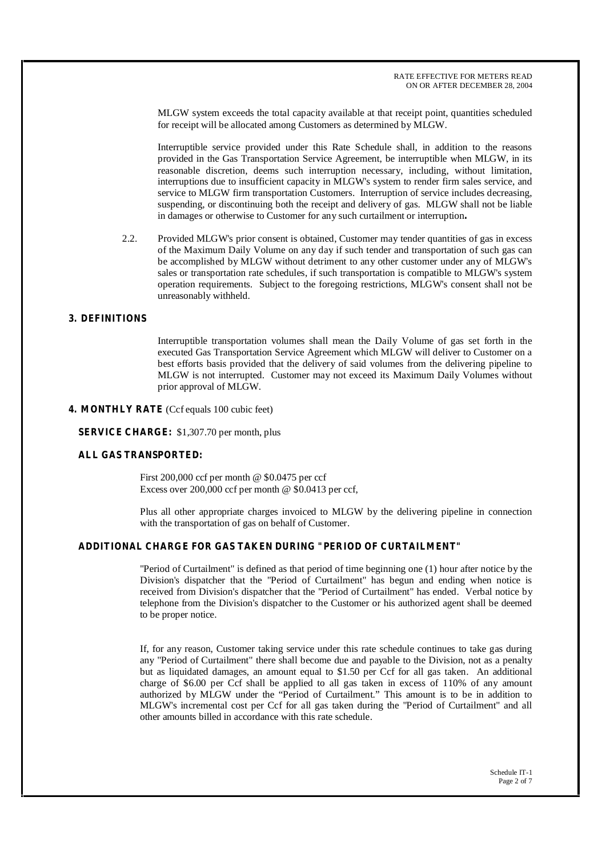MLGW system exceeds the total capacity available at that receipt point, quantities scheduled for receipt will be allocated among Customers as determined by MLGW.

Interruptible service provided under this Rate Schedule shall, in addition to the reasons provided in the Gas Transportation Service Agreement, be interruptible when MLGW, in its reasonable discretion, deems such interruption necessary, including, without limitation, interruptions due to insufficient capacity in MLGW's system to render firm sales service, and service to MLGW firm transportation Customers. Interruption of service includes decreasing, suspending, or discontinuing both the receipt and delivery of gas. MLGW shall not be liable in damages or otherwise to Customer for any such curtailment or interruption**.**

2.2. Provided MLGW's prior consent is obtained, Customer may tender quantities of gas in excess of the Maximum Daily Volume on any day if such tender and transportation of such gas can be accomplished by MLGW without detriment to any other customer under any of MLGW's sales or transportation rate schedules, if such transportation is compatible to MLGW's system operation requirements. Subject to the foregoing restrictions, MLGW's consent shall not be unreasonably withheld.

# **3. DEFINITIONS**

Interruptible transportation volumes shall mean the Daily Volume of gas set forth in the executed Gas Transportation Service Agreement which MLGW will deliver to Customer on a best efforts basis provided that the delivery of said volumes from the delivering pipeline to MLGW is not interrupted. Customer may not exceed its Maximum Daily Volumes without prior approval of MLGW.

## **4. MONTHLY RATE** (Ccf equals 100 cubic feet)

**SERVICE CHARGE:** \$1,307.70 per month, plus

## **ALL GAS TRANSPORTED:**

First 200,000 ccf per month @ \$0.0475 per ccf Excess over  $200,000$  ccf per month @ \$0.0413 per ccf.

Plus all other appropriate charges invoiced to MLGW by the delivering pipeline in connection with the transportation of gas on behalf of Customer.

## **ADDITIONAL CHARGE FOR GAS TAKEN DURING "PERIOD OF CURTAILMENT"**

"Period of Curtailment" is defined as that period of time beginning one (1) hour after notice by the Division's dispatcher that the "Period of Curtailment" has begun and ending when notice is received from Division's dispatcher that the "Period of Curtailment" has ended. Verbal notice by telephone from the Division's dispatcher to the Customer or his authorized agent shall be deemed to be proper notice.

If, for any reason, Customer taking service under this rate schedule continues to take gas during any "Period of Curtailment" there shall become due and payable to the Division, not as a penalty but as liquidated damages, an amount equal to \$1.50 per Ccf for all gas taken. An additional charge of \$6.00 per Ccf shall be applied to all gas taken in excess of 110% of any amount authorized by MLGW under the "Period of Curtailment." This amount is to be in addition to MLGW's incremental cost per Ccf for all gas taken during the "Period of Curtailment" and all other amounts billed in accordance with this rate schedule.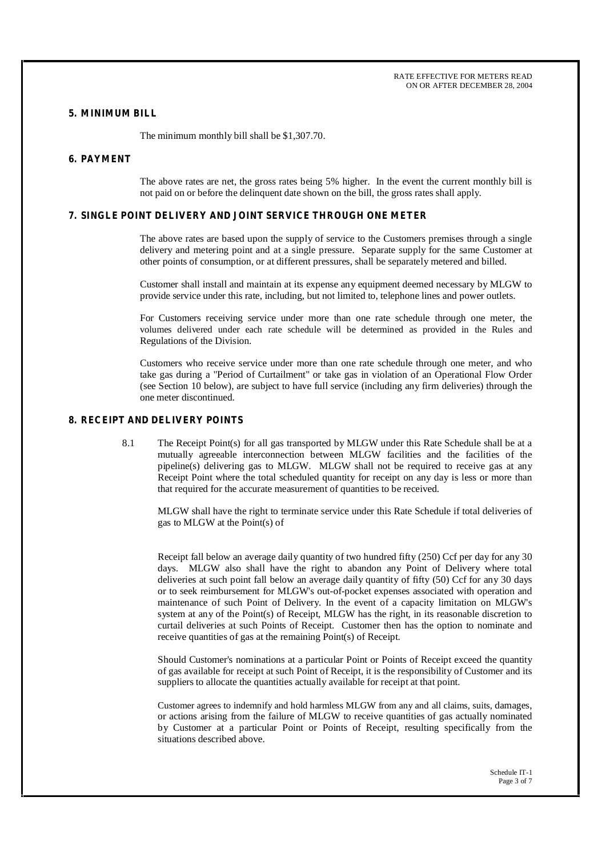RATE EFFECTIVE FOR METERS READ ON OR AFTER DECEMBER 28, 2004

#### **5. MINIMUM BILL**

The minimum monthly bill shall be \$1,307.70.

#### **6. PAYMENT**

The above rates are net, the gross rates being 5% higher. In the event the current monthly bill is not paid on or before the delinquent date shown on the bill, the gross rates shall apply.

## **7. SINGLE POINT DELIVERY AND JOINT SERVICE THROUGH ONE METER**

The above rates are based upon the supply of service to the Customers premises through a single delivery and metering point and at a single pressure. Separate supply for the same Customer at other points of consumption, or at different pressures, shall be separately metered and billed.

Customer shall install and maintain at its expense any equipment deemed necessary by MLGW to provide service under this rate, including, but not limited to, telephone lines and power outlets.

For Customers receiving service under more than one rate schedule through one meter, the volumes delivered under each rate schedule will be determined as provided in the Rules and Regulations of the Division.

Customers who receive service under more than one rate schedule through one meter, and who take gas during a "Period of Curtailment" or take gas in violation of an Operational Flow Order (see Section 10 below), are subject to have full service (including any firm deliveries) through the one meter discontinued.

## **8. RECEIPT AND DELIVERY POINTS**

8.1 The Receipt Point(s) for all gas transported by MLGW under this Rate Schedule shall be at a mutually agreeable interconnection between MLGW facilities and the facilities of the pipeline(s) delivering gas to MLGW. MLGW shall not be required to receive gas at any Receipt Point where the total scheduled quantity for receipt on any day is less or more than that required for the accurate measurement of quantities to be received.

MLGW shall have the right to terminate service under this Rate Schedule if total deliveries of gas to MLGW at the Point(s) of

Receipt fall below an average daily quantity of two hundred fifty (250) Ccf per day for any 30 days. MLGW also shall have the right to abandon any Point of Delivery where total deliveries at such point fall below an average daily quantity of fifty (50) Ccf for any 30 days or to seek reimbursement for MLGW's out-of-pocket expenses associated with operation and maintenance of such Point of Delivery. In the event of a capacity limitation on MLGW's system at any of the Point(s) of Receipt, MLGW has the right, in its reasonable discretion to curtail deliveries at such Points of Receipt. Customer then has the option to nominate and receive quantities of gas at the remaining Point(s) of Receipt.

Should Customer's nominations at a particular Point or Points of Receipt exceed the quantity of gas available for receipt at such Point of Receipt, it is the responsibility of Customer and its suppliers to allocate the quantities actually available for receipt at that point.

Customer agrees to indemnify and hold harmless MLGW from any and all claims, suits, damages, or actions arising from the failure of MLGW to receive quantities of gas actually nominated by Customer at a particular Point or Points of Receipt, resulting specifically from the situations described above.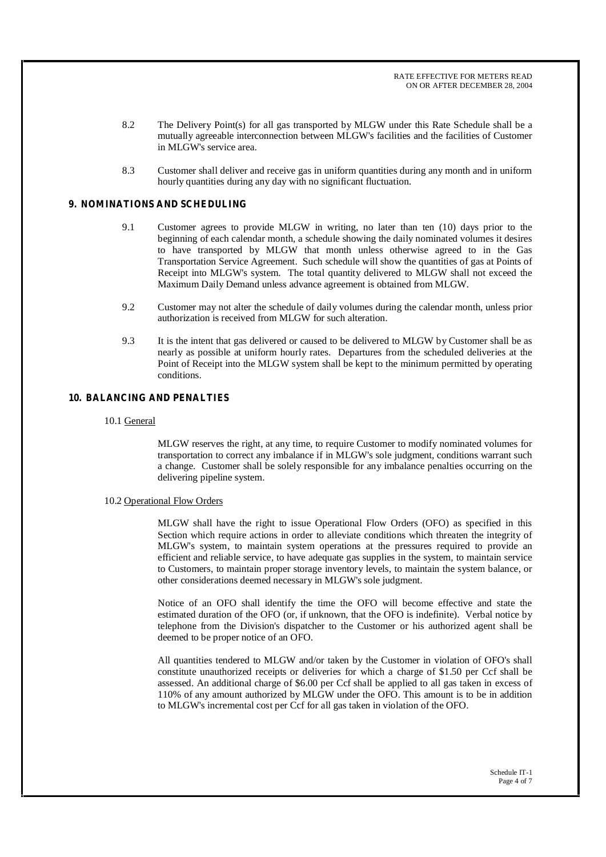- 8.2 The Delivery Point(s) for all gas transported by MLGW under this Rate Schedule shall be a mutually agreeable interconnection between MLGW's facilities and the facilities of Customer in MLGW's service area.
- 8.3 Customer shall deliver and receive gas in uniform quantities during any month and in uniform hourly quantities during any day with no significant fluctuation.

## **9. NOMINATIONS AND SCHEDULING**

- 9.1 Customer agrees to provide MLGW in writing, no later than ten (10) days prior to the beginning of each calendar month, a schedule showing the daily nominated volumes it desires to have transported by MLGW that month unless otherwise agreed to in the Gas Transportation Service Agreement. Such schedule will show the quantities of gas at Points of Receipt into MLGW's system. The total quantity delivered to MLGW shall not exceed the Maximum Daily Demand unless advance agreement is obtained from MLGW.
- 9.2 Customer may not alter the schedule of daily volumes during the calendar month, unless prior authorization is received from MLGW for such alteration.
- 9.3 It is the intent that gas delivered or caused to be delivered to MLGW by Customer shall be as nearly as possible at uniform hourly rates. Departures from the scheduled deliveries at the Point of Receipt into the MLGW system shall be kept to the minimum permitted by operating conditions.

# **10. BALANCING AND PENALTIES**

10.1 General

MLGW reserves the right, at any time, to require Customer to modify nominated volumes for transportation to correct any imbalance if in MLGW's sole judgment, conditions warrant such a change. Customer shall be solely responsible for any imbalance penalties occurring on the delivering pipeline system.

#### 10.2 Operational Flow Orders

MLGW shall have the right to issue Operational Flow Orders (OFO) as specified in this Section which require actions in order to alleviate conditions which threaten the integrity of MLGW's system, to maintain system operations at the pressures required to provide an efficient and reliable service, to have adequate gas supplies in the system, to maintain service to Customers, to maintain proper storage inventory levels, to maintain the system balance, or other considerations deemed necessary in MLGW's sole judgment.

Notice of an OFO shall identify the time the OFO will become effective and state the estimated duration of the OFO (or, if unknown, that the OFO is indefinite). Verbal notice by telephone from the Division's dispatcher to the Customer or his authorized agent shall be deemed to be proper notice of an OFO.

All quantities tendered to MLGW and/or taken by the Customer in violation of OFO's shall constitute unauthorized receipts or deliveries for which a charge of \$1.50 per Ccf shall be assessed. An additional charge of \$6.00 per Ccf shall be applied to all gas taken in excess of 110% of any amount authorized by MLGW under the OFO. This amount is to be in addition to MLGW's incremental cost per Ccf for all gas taken in violation of the OFO.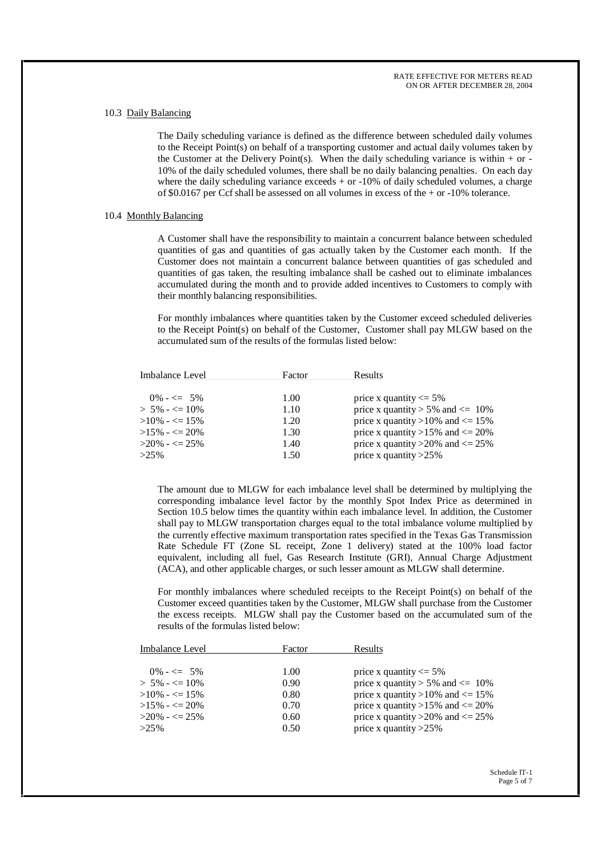#### 10.3 Daily Balancing

The Daily scheduling variance is defined as the difference between scheduled daily volumes to the Receipt Point(s) on behalf of a transporting customer and actual daily volumes taken by the Customer at the Delivery Point(s). When the daily scheduling variance is within  $+$  or -10% of the daily scheduled volumes, there shall be no daily balancing penalties. On each day where the daily scheduling variance  $exceeds + or -10%$  of daily scheduled volumes, a charge of \$0.0167 per Ccf shall be assessed on all volumes in excess of the + or -10% tolerance.

### 10.4 Monthly Balancing

A Customer shall have the responsibility to maintain a concurrent balance between scheduled quantities of gas and quantities of gas actually taken by the Customer each month. If the Customer does not maintain a concurrent balance between quantities of gas scheduled and quantities of gas taken, the resulting imbalance shall be cashed out to eliminate imbalances accumulated during the month and to provide added incentives to Customers to comply with their monthly balancing responsibilities.

For monthly imbalances where quantities taken by the Customer exceed scheduled deliveries to the Receipt Point(s) on behalf of the Customer, Customer shall pay MLGW based on the accumulated sum of the results of the formulas listed below:

| Imbalance Level     | Factor | Results                               |
|---------------------|--------|---------------------------------------|
| $0\% - \leq 5\%$    | 1.00   | price x quantity $\leq$ 5%            |
| $> 5\% - \leq 10\%$ | 1.10   | price x quantity > 5% and $\leq$ 10%  |
| $>10\% - \leq 15\%$ | 1.20   | price x quantity >10% and $\leq$ 15%  |
| $>15\% - \leq 20\%$ | 1.30   | price x quantity >15% and $\leq$ 20%  |
| $>20\% - \leq 25\%$ | 1.40   | price x quantity > 20% and $\leq$ 25% |
| $>25\%$             | 1.50   | price x quantity $>25\%$              |

The amount due to MLGW for each imbalance level shall be determined by multiplying the corresponding imbalance level factor by the monthly Spot Index Price as determined in Section 10.5 below times the quantity within each imbalance level. In addition, the Customer shall pay to MLGW transportation charges equal to the total imbalance volume multiplied by the currently effective maximum transportation rates specified in the Texas Gas Transmission Rate Schedule FT (Zone SL receipt, Zone 1 delivery) stated at the 100% load factor equivalent, including all fuel, Gas Research Institute (GRI), Annual Charge Adjustment (ACA), and other applicable charges, or such lesser amount as MLGW shall determine.

For monthly imbalances where scheduled receipts to the Receipt Point(s) on behalf of the Customer exceed quantities taken by the Customer, MLGW shall purchase from the Customer the excess receipts. MLGW shall pay the Customer based on the accumulated sum of the results of the formulas listed below:

| Imbalance Level     | Factor | Results                               |
|---------------------|--------|---------------------------------------|
| $0\% - \leq 5\%$    | 1.00   | price x quantity $\leq$ 5%            |
| $> 5\% - \leq 10\%$ | 0.90   | price x quantity > 5% and $\leq$ 10%  |
| $>10\% - \leq 15\%$ | 0.80   | price x quantity >10% and $\leq$ 15%  |
| $>15\% - \leq 20\%$ | 0.70   | price x quantity >15% and $\leq$ 20%  |
| $>20\% - \leq 25\%$ | 0.60   | price x quantity > 20% and $\leq$ 25% |
| $>25\%$             | 0.50   | price x quantity $>25\%$              |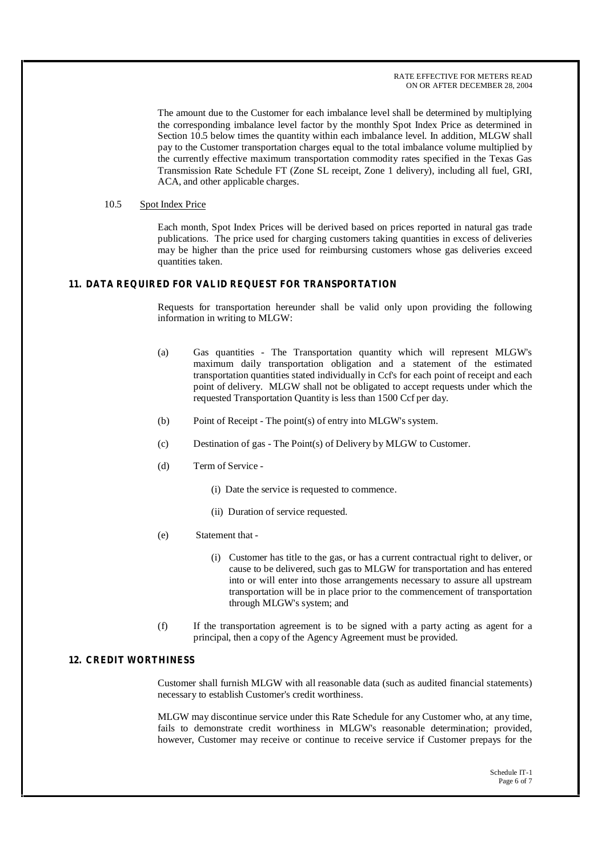The amount due to the Customer for each imbalance level shall be determined by multiplying the corresponding imbalance level factor by the monthly Spot Index Price as determined in Section 10.5 below times the quantity within each imbalance level. In addition, MLGW shall pay to the Customer transportation charges equal to the total imbalance volume multiplied by the currently effective maximum transportation commodity rates specified in the Texas Gas Transmission Rate Schedule FT (Zone SL receipt, Zone 1 delivery), including all fuel, GRI, ACA, and other applicable charges.

## 10.5 Spot Index Price

Each month, Spot Index Prices will be derived based on prices reported in natural gas trade publications. The price used for charging customers taking quantities in excess of deliveries may be higher than the price used for reimbursing customers whose gas deliveries exceed quantities taken.

## **11. DATA REQUIRED FOR VALID REQUEST FOR TRANSPORTATION**

Requests for transportation hereunder shall be valid only upon providing the following information in writing to MLGW:

- (a) Gas quantities The Transportation quantity which will represent MLGW's maximum daily transportation obligation and a statement of the estimated transportation quantities stated individually in Ccf's for each point of receipt and each point of delivery. MLGW shall not be obligated to accept requests under which the requested Transportation Quantity is less than 1500 Ccf per day.
- (b) Point of Receipt The point(s) of entry into MLGW's system.
- (c) Destination of gas The Point(s) of Delivery by MLGW to Customer.
- (d) Term of Service
	- (i) Date the service is requested to commence.
	- (ii) Duration of service requested.
- (e) Statement that
	- (i) Customer has title to the gas, or has a current contractual right to deliver, or cause to be delivered, such gas to MLGW for transportation and has entered into or will enter into those arrangements necessary to assure all upstream transportation will be in place prior to the commencement of transportation through MLGW's system; and
- (f) If the transportation agreement is to be signed with a party acting as agent for a principal, then a copy of the Agency Agreement must be provided.

### **12. CREDIT WORTHINESS**

Customer shall furnish MLGW with all reasonable data (such as audited financial statements) necessary to establish Customer's credit worthiness.

MLGW may discontinue service under this Rate Schedule for any Customer who, at any time, fails to demonstrate credit worthiness in MLGW's reasonable determination; provided, however, Customer may receive or continue to receive service if Customer prepays for the

> Schedule IT-1 Page 6 of 7